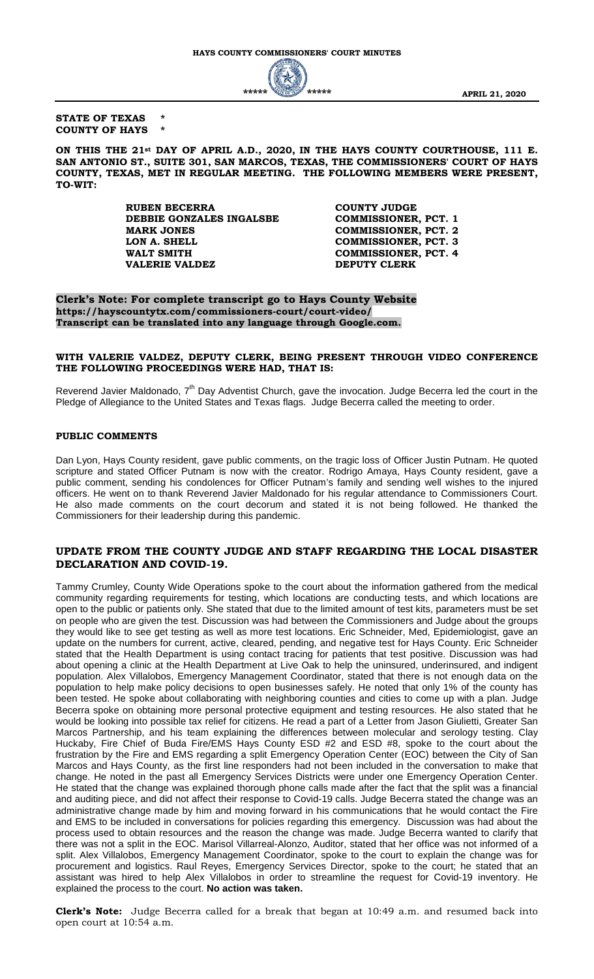#### **STATE OF TEXAS \* COUNTY OF HAYS \***

**ON THIS THE 21st DAY OF APRIL A.D., 2020, IN THE HAYS COUNTY COURTHOUSE, 111 E. SAN ANTONIO ST., SUITE 301, SAN MARCOS, TEXAS, THE COMMISSIONERS' COURT OF HAYS COUNTY, TEXAS, MET IN REGULAR MEETING. THE FOLLOWING MEMBERS WERE PRESENT, TO-WIT:**

> **RUBEN BECERRA COUNTY JUDGE**<br> **DEBBIE GONZALES INGALSBE COMMISSIONER, PCT. 1 DEBBIE GONZALES INGALSBE MARK JONES COMMISSIONER, PCT. 2**<br> **COMMISSIONER, PCT. 3 LON A. SHELL COMMISSIONER, PCT. 3 WALT SMITH COMMISSIONER, PCT. 4 VALERIE VALDEZ DEPUTY CLERK**

**Clerk's Note: For complete transcript go to Hays County Website https://hayscountytx.com/commissioners-court/court-video/ Transcript can be translated into any language through Google.com.**

#### **WITH VALERIE VALDEZ, DEPUTY CLERK, BEING PRESENT THROUGH VIDEO CONFERENCE THE FOLLOWING PROCEEDINGS WERE HAD, THAT IS:**

Reverend Javier Maldonado, 7<sup>th</sup> Day Adventist Church, gave the invocation. Judge Becerra led the court in the Pledge of Allegiance to the United States and Texas flags. Judge Becerra called the meeting to order.

#### **PUBLIC COMMENTS**

Dan Lyon, Hays County resident, gave public comments, on the tragic loss of Officer Justin Putnam. He quoted scripture and stated Officer Putnam is now with the creator. Rodrigo Amaya, Hays County resident, gave a public comment, sending his condolences for Officer Putnam's family and sending well wishes to the injured officers. He went on to thank Reverend Javier Maldonado for his regular attendance to Commissioners Court. He also made comments on the court decorum and stated it is not being followed. He thanked the Commissioners for their leadership during this pandemic.

# **UPDATE FROM THE COUNTY JUDGE AND STAFF REGARDING THE LOCAL DISASTER DECLARATION AND COVID-19.**

Tammy Crumley, County Wide Operations spoke to the court about the information gathered from the medical community regarding requirements for testing, which locations are conducting tests, and which locations are open to the public or patients only. She stated that due to the limited amount of test kits, parameters must be set on people who are given the test. Discussion was had between the Commissioners and Judge about the groups they would like to see get testing as well as more test locations. Eric Schneider, Med, Epidemiologist, gave an update on the numbers for current, active, cleared, pending, and negative test for Hays County. Eric Schneider stated that the Health Department is using contact tracing for patients that test positive. Discussion was had about opening a clinic at the Health Department at Live Oak to help the uninsured, underinsured, and indigent population. Alex Villalobos, Emergency Management Coordinator, stated that there is not enough data on the population to help make policy decisions to open businesses safely. He noted that only 1% of the county has been tested. He spoke about collaborating with neighboring counties and cities to come up with a plan. Judge Becerra spoke on obtaining more personal protective equipment and testing resources. He also stated that he would be looking into possible tax relief for citizens. He read a part of a Letter from Jason Giulietti, Greater San Marcos Partnership, and his team explaining the differences between molecular and serology testing. Clay Huckaby, Fire Chief of Buda Fire/EMS Hays County ESD #2 and ESD #8, spoke to the court about the frustration by the Fire and EMS regarding a split Emergency Operation Center (EOC) between the City of San Marcos and Hays County, as the first line responders had not been included in the conversation to make that change. He noted in the past all Emergency Services Districts were under one Emergency Operation Center. He stated that the change was explained thorough phone calls made after the fact that the split was a financial and auditing piece, and did not affect their response to Covid-19 calls. Judge Becerra stated the change was an administrative change made by him and moving forward in his communications that he would contact the Fire and EMS to be included in conversations for policies regarding this emergency. Discussion was had about the process used to obtain resources and the reason the change was made. Judge Becerra wanted to clarify that there was not a split in the EOC. Marisol Villarreal-Alonzo, Auditor, stated that her office was not informed of a split. Alex Villalobos, Emergency Management Coordinator, spoke to the court to explain the change was for procurement and logistics. Raul Reyes, Emergency Services Director, spoke to the court; he stated that an assistant was hired to help Alex Villalobos in order to streamline the request for Covid-19 inventory. He explained the process to the court. **No action was taken.**

**Clerk's Note:** Judge Becerra called for a break that began at 10:49 a.m. and resumed back into open court at 10:54 a.m.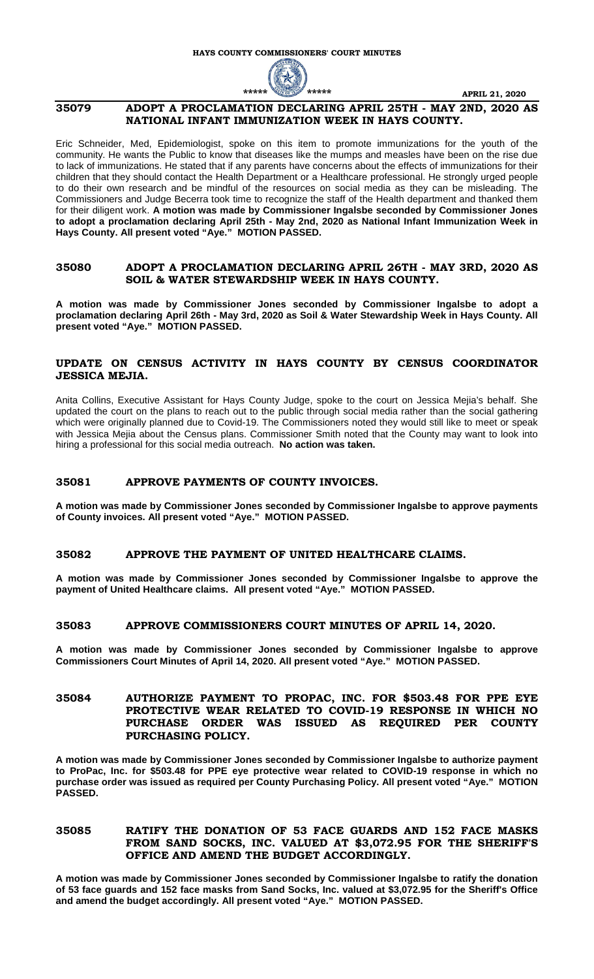

# **35079 ADOPT A PROCLAMATION DECLARING APRIL 25TH - MAY 2ND, 2020 AS NATIONAL INFANT IMMUNIZATION WEEK IN HAYS COUNTY.**

Eric Schneider, Med, Epidemiologist, spoke on this item to promote immunizations for the youth of the community. He wants the Public to know that diseases like the mumps and measles have been on the rise due to lack of immunizations. He stated that if any parents have concerns about the effects of immunizations for their children that they should contact the Health Department or a Healthcare professional. He strongly urged people to do their own research and be mindful of the resources on social media as they can be misleading. The Commissioners and Judge Becerra took time to recognize the staff of the Health department and thanked them for their diligent work. **A motion was made by Commissioner Ingalsbe seconded by Commissioner Jones to adopt a proclamation declaring April 25th - May 2nd, 2020 as National Infant Immunization Week in Hays County. All present voted "Aye." MOTION PASSED.**

#### **35080 ADOPT A PROCLAMATION DECLARING APRIL 26TH - MAY 3RD, 2020 AS SOIL & WATER STEWARDSHIP WEEK IN HAYS COUNTY.**

**A motion was made by Commissioner Jones seconded by Commissioner Ingalsbe to adopt a proclamation declaring April 26th - May 3rd, 2020 as Soil & Water Stewardship Week in Hays County. All present voted "Aye." MOTION PASSED.**

# **UPDATE ON CENSUS ACTIVITY IN HAYS COUNTY BY CENSUS COORDINATOR JESSICA MEJIA.**

Anita Collins, Executive Assistant for Hays County Judge, spoke to the court on Jessica Mejia's behalf. She updated the court on the plans to reach out to the public through social media rather than the social gathering which were originally planned due to Covid-19. The Commissioners noted they would still like to meet or speak with Jessica Mejia about the Census plans. Commissioner Smith noted that the County may want to look into hiring a professional for this social media outreach. **No action was taken.**

#### **35081 APPROVE PAYMENTS OF COUNTY INVOICES.**

**A motion was made by Commissioner Jones seconded by Commissioner Ingalsbe to approve payments of County invoices. All present voted "Aye." MOTION PASSED.**

#### **35082 APPROVE THE PAYMENT OF UNITED HEALTHCARE CLAIMS.**

**A motion was made by Commissioner Jones seconded by Commissioner Ingalsbe to approve the payment of United Healthcare claims. All present voted "Aye." MOTION PASSED.**

#### **35083 APPROVE COMMISSIONERS COURT MINUTES OF APRIL 14, 2020.**

**A motion was made by Commissioner Jones seconded by Commissioner Ingalsbe to approve Commissioners Court Minutes of April 14, 2020. All present voted "Aye." MOTION PASSED.**

### **35084 AUTHORIZE PAYMENT TO PROPAC, INC. FOR \$503.48 FOR PPE EYE PROTECTIVE WEAR RELATED TO COVID-19 RESPONSE IN WHICH NO PURCHASE ORDER WAS ISSUED AS REQUIRED PER COUNTY PURCHASING POLICY.**

**A motion was made by Commissioner Jones seconded by Commissioner Ingalsbe to authorize payment to ProPac, Inc. for \$503.48 for PPE eye protective wear related to COVID-19 response in which no purchase order was issued as required per County Purchasing Policy. All present voted "Aye." MOTION PASSED.**

# **35085 RATIFY THE DONATION OF 53 FACE GUARDS AND 152 FACE MASKS FROM SAND SOCKS, INC. VALUED AT \$3,072.95 FOR THE SHERIFF'S OFFICE AND AMEND THE BUDGET ACCORDINGLY.**

**A motion was made by Commissioner Jones seconded by Commissioner Ingalsbe to ratify the donation of 53 face guards and 152 face masks from Sand Socks, Inc. valued at \$3,072.95 for the Sheriff's Office and amend the budget accordingly. All present voted "Aye." MOTION PASSED.**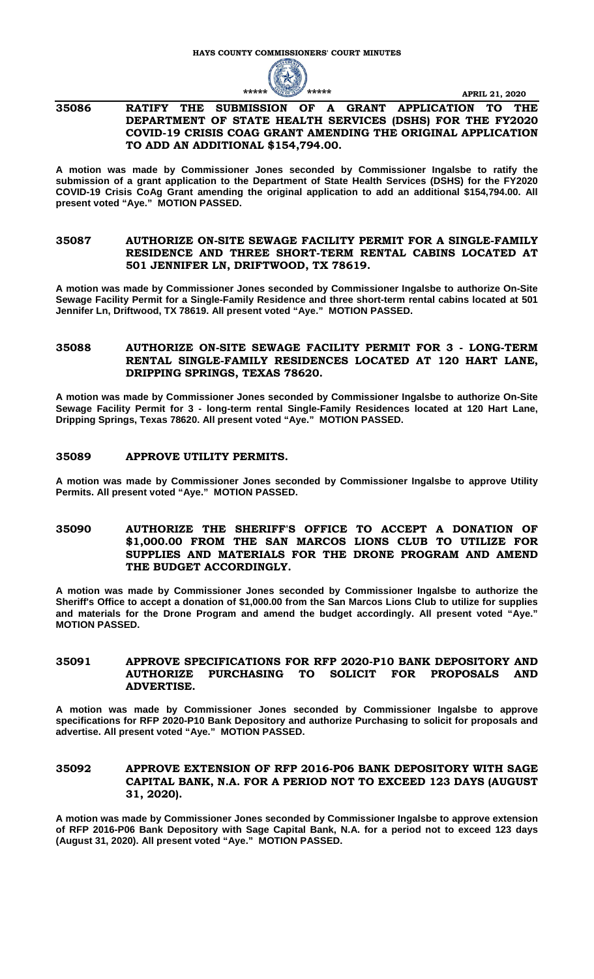

### **35086 RATIFY THE SUBMISSION OF A GRANT APPLICATION TO THE DEPARTMENT OF STATE HEALTH SERVICES (DSHS) FOR THE FY2020 COVID-19 CRISIS COAG GRANT AMENDING THE ORIGINAL APPLICATION TO ADD AN ADDITIONAL \$154,794.00.**

**A motion was made by Commissioner Jones seconded by Commissioner Ingalsbe to ratify the submission of a grant application to the Department of State Health Services (DSHS) for the FY2020 COVID-19 Crisis CoAg Grant amending the original application to add an additional \$154,794.00. All present voted "Aye." MOTION PASSED.**

### **35087 AUTHORIZE ON-SITE SEWAGE FACILITY PERMIT FOR A SINGLE-FAMILY RESIDENCE AND THREE SHORT-TERM RENTAL CABINS LOCATED AT 501 JENNIFER LN, DRIFTWOOD, TX 78619.**

**A motion was made by Commissioner Jones seconded by Commissioner Ingalsbe to authorize On-Site Sewage Facility Permit for a Single-Family Residence and three short-term rental cabins located at 501 Jennifer Ln, Driftwood, TX 78619. All present voted "Aye." MOTION PASSED.**

### **35088 AUTHORIZE ON-SITE SEWAGE FACILITY PERMIT FOR 3 - LONG-TERM RENTAL SINGLE-FAMILY RESIDENCES LOCATED AT 120 HART LANE, DRIPPING SPRINGS, TEXAS 78620.**

**A motion was made by Commissioner Jones seconded by Commissioner Ingalsbe to authorize On-Site Sewage Facility Permit for 3 - long-term rental Single-Family Residences located at 120 Hart Lane, Dripping Springs, Texas 78620. All present voted "Aye." MOTION PASSED.**

#### **35089 APPROVE UTILITY PERMITS.**

**A motion was made by Commissioner Jones seconded by Commissioner Ingalsbe to approve Utility Permits. All present voted "Aye." MOTION PASSED.**

### **35090 AUTHORIZE THE SHERIFF'S OFFICE TO ACCEPT A DONATION OF \$1,000.00 FROM THE SAN MARCOS LIONS CLUB TO UTILIZE FOR SUPPLIES AND MATERIALS FOR THE DRONE PROGRAM AND AMEND THE BUDGET ACCORDINGLY.**

**A motion was made by Commissioner Jones seconded by Commissioner Ingalsbe to authorize the Sheriff's Office to accept a donation of \$1,000.00 from the San Marcos Lions Club to utilize for supplies and materials for the Drone Program and amend the budget accordingly. All present voted "Aye." MOTION PASSED.**

### **35091 APPROVE SPECIFICATIONS FOR RFP 2020-P10 BANK DEPOSITORY AND AUTHORIZE PURCHASING TO SOLICIT FOR PROPOSALS AND ADVERTISE.**

**A motion was made by Commissioner Jones seconded by Commissioner Ingalsbe to approve specifications for RFP 2020-P10 Bank Depository and authorize Purchasing to solicit for proposals and advertise. All present voted "Aye." MOTION PASSED.**

# **35092 APPROVE EXTENSION OF RFP 2016-P06 BANK DEPOSITORY WITH SAGE CAPITAL BANK, N.A. FOR A PERIOD NOT TO EXCEED 123 DAYS (AUGUST 31, 2020).**

**A motion was made by Commissioner Jones seconded by Commissioner Ingalsbe to approve extension of RFP 2016-P06 Bank Depository with Sage Capital Bank, N.A. for a period not to exceed 123 days (August 31, 2020). All present voted "Aye." MOTION PASSED.**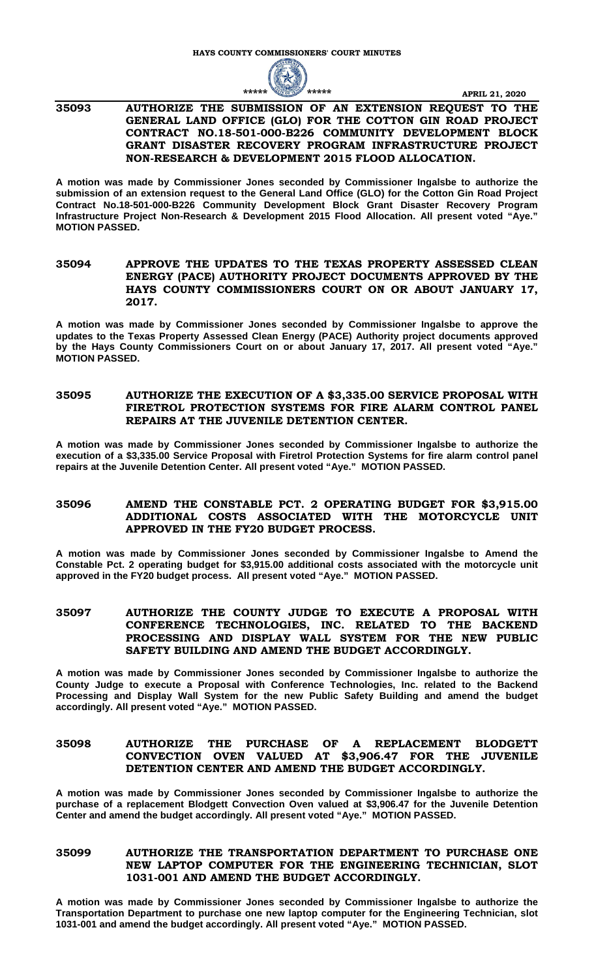

#### **35093 AUTHORIZE THE SUBMISSION OF AN EXTENSION REQUEST TO THE GENERAL LAND OFFICE (GLO) FOR THE COTTON GIN ROAD PROJECT CONTRACT NO.18-501-000-B226 COMMUNITY DEVELOPMENT BLOCK GRANT DISASTER RECOVERY PROGRAM INFRASTRUCTURE PROJECT NON-RESEARCH & DEVELOPMENT 2015 FLOOD ALLOCATION.**

**A motion was made by Commissioner Jones seconded by Commissioner Ingalsbe to authorize the submission of an extension request to the General Land Office (GLO) for the Cotton Gin Road Project Contract No.18-501-000-B226 Community Development Block Grant Disaster Recovery Program Infrastructure Project Non-Research & Development 2015 Flood Allocation. All present voted "Aye." MOTION PASSED.**

#### **35094 APPROVE THE UPDATES TO THE TEXAS PROPERTY ASSESSED CLEAN ENERGY (PACE) AUTHORITY PROJECT DOCUMENTS APPROVED BY THE HAYS COUNTY COMMISSIONERS COURT ON OR ABOUT JANUARY 17, 2017.**

**A motion was made by Commissioner Jones seconded by Commissioner Ingalsbe to approve the updates to the Texas Property Assessed Clean Energy (PACE) Authority project documents approved by the Hays County Commissioners Court on or about January 17, 2017. All present voted "Aye." MOTION PASSED.**

# **35095 AUTHORIZE THE EXECUTION OF A \$3,335.00 SERVICE PROPOSAL WITH FIRETROL PROTECTION SYSTEMS FOR FIRE ALARM CONTROL PANEL REPAIRS AT THE JUVENILE DETENTION CENTER.**

**A motion was made by Commissioner Jones seconded by Commissioner Ingalsbe to authorize the execution of a \$3,335.00 Service Proposal with Firetrol Protection Systems for fire alarm control panel repairs at the Juvenile Detention Center. All present voted "Aye." MOTION PASSED.**

# **35096 AMEND THE CONSTABLE PCT. 2 OPERATING BUDGET FOR \$3,915.00 ADDITIONAL COSTS ASSOCIATED WITH THE MOTORCYCLE UNIT APPROVED IN THE FY20 BUDGET PROCESS.**

**A motion was made by Commissioner Jones seconded by Commissioner Ingalsbe to Amend the Constable Pct. 2 operating budget for \$3,915.00 additional costs associated with the motorcycle unit approved in the FY20 budget process. All present voted "Aye." MOTION PASSED.**

# **35097 AUTHORIZE THE COUNTY JUDGE TO EXECUTE A PROPOSAL WITH CONFERENCE TECHNOLOGIES, INC. RELATED TO THE BACKEND PROCESSING AND DISPLAY WALL SYSTEM FOR THE NEW PUBLIC SAFETY BUILDING AND AMEND THE BUDGET ACCORDINGLY.**

**A motion was made by Commissioner Jones seconded by Commissioner Ingalsbe to authorize the County Judge to execute a Proposal with Conference Technologies, Inc. related to the Backend Processing and Display Wall System for the new Public Safety Building and amend the budget accordingly. All present voted "Aye." MOTION PASSED.**

# **35098 AUTHORIZE THE PURCHASE OF A REPLACEMENT BLODGETT CONVECTION OVEN VALUED AT \$3,906.47 FOR THE JUVENILE DETENTION CENTER AND AMEND THE BUDGET ACCORDINGLY.**

**A motion was made by Commissioner Jones seconded by Commissioner Ingalsbe to authorize the purchase of a replacement Blodgett Convection Oven valued at \$3,906.47 for the Juvenile Detention Center and amend the budget accordingly. All present voted "Aye." MOTION PASSED.**

# **35099 AUTHORIZE THE TRANSPORTATION DEPARTMENT TO PURCHASE ONE NEW LAPTOP COMPUTER FOR THE ENGINEERING TECHNICIAN, SLOT 1031-001 AND AMEND THE BUDGET ACCORDINGLY.**

**A motion was made by Commissioner Jones seconded by Commissioner Ingalsbe to authorize the Transportation Department to purchase one new laptop computer for the Engineering Technician, slot 1031-001 and amend the budget accordingly. All present voted "Aye." MOTION PASSED.**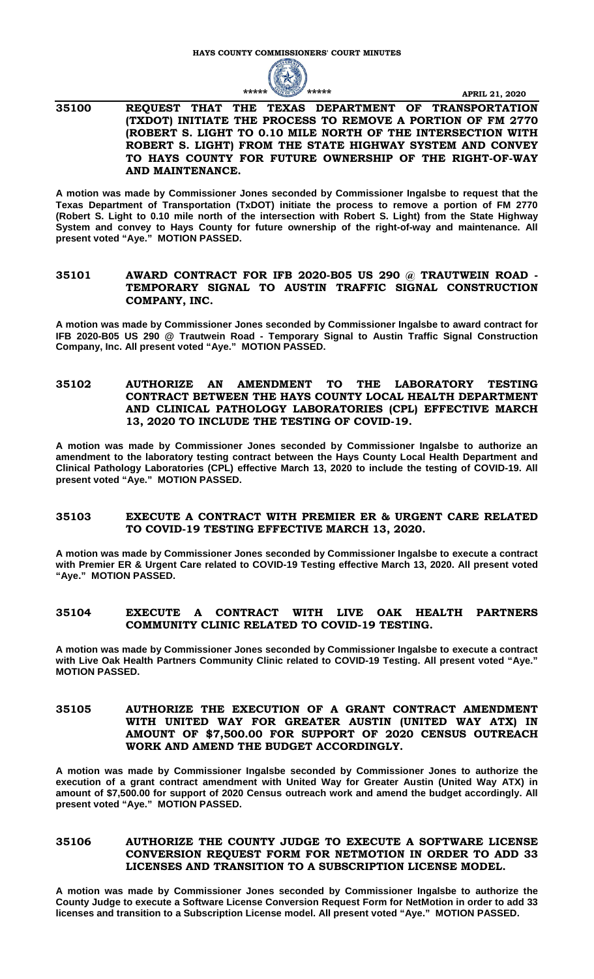

### **35100 REQUEST THAT THE TEXAS DEPARTMENT OF TRANSPORTATION (TXDOT) INITIATE THE PROCESS TO REMOVE A PORTION OF FM 2770 (ROBERT S. LIGHT TO 0.10 MILE NORTH OF THE INTERSECTION WITH ROBERT S. LIGHT) FROM THE STATE HIGHWAY SYSTEM AND CONVEY TO HAYS COUNTY FOR FUTURE OWNERSHIP OF THE RIGHT-OF-WAY AND MAINTENANCE.**

**A motion was made by Commissioner Jones seconded by Commissioner Ingalsbe to request that the Texas Department of Transportation (TxDOT) initiate the process to remove a portion of FM 2770 (Robert S. Light to 0.10 mile north of the intersection with Robert S. Light) from the State Highway System and convey to Hays County for future ownership of the right-of-way and maintenance. All present voted "Aye." MOTION PASSED.**

# **35101 AWARD CONTRACT FOR IFB 2020-B05 US 290 @ TRAUTWEIN ROAD - TEMPORARY SIGNAL TO AUSTIN TRAFFIC SIGNAL CONSTRUCTION COMPANY, INC.**

**A motion was made by Commissioner Jones seconded by Commissioner Ingalsbe to award contract for IFB 2020-B05 US 290 @ Trautwein Road - Temporary Signal to Austin Traffic Signal Construction Company, Inc. All present voted "Aye." MOTION PASSED.**

# **35102 AUTHORIZE AN AMENDMENT TO THE LABORATORY TESTING CONTRACT BETWEEN THE HAYS COUNTY LOCAL HEALTH DEPARTMENT AND CLINICAL PATHOLOGY LABORATORIES (CPL) EFFECTIVE MARCH 13, 2020 TO INCLUDE THE TESTING OF COVID-19.**

**A motion was made by Commissioner Jones seconded by Commissioner Ingalsbe to authorize an amendment to the laboratory testing contract between the Hays County Local Health Department and Clinical Pathology Laboratories (CPL) effective March 13, 2020 to include the testing of COVID-19. All present voted "Aye." MOTION PASSED.**

#### **35103 EXECUTE A CONTRACT WITH PREMIER ER & URGENT CARE RELATED TO COVID-19 TESTING EFFECTIVE MARCH 13, 2020.**

**A motion was made by Commissioner Jones seconded by Commissioner Ingalsbe to execute a contract with Premier ER & Urgent Care related to COVID-19 Testing effective March 13, 2020. All present voted "Aye." MOTION PASSED.**

# **35104 EXECUTE A CONTRACT WITH LIVE OAK HEALTH PARTNERS COMMUNITY CLINIC RELATED TO COVID-19 TESTING.**

**A motion was made by Commissioner Jones seconded by Commissioner Ingalsbe to execute a contract with Live Oak Health Partners Community Clinic related to COVID-19 Testing. All present voted "Aye." MOTION PASSED.**

# **35105 AUTHORIZE THE EXECUTION OF A GRANT CONTRACT AMENDMENT WITH UNITED WAY FOR GREATER AUSTIN (UNITED WAY ATX) IN AMOUNT OF \$7,500.00 FOR SUPPORT OF 2020 CENSUS OUTREACH WORK AND AMEND THE BUDGET ACCORDINGLY.**

**A motion was made by Commissioner Ingalsbe seconded by Commissioner Jones to authorize the execution of a grant contract amendment with United Way for Greater Austin (United Way ATX) in amount of \$7,500.00 for support of 2020 Census outreach work and amend the budget accordingly. All present voted "Aye." MOTION PASSED.**

# **35106 AUTHORIZE THE COUNTY JUDGE TO EXECUTE A SOFTWARE LICENSE CONVERSION REQUEST FORM FOR NETMOTION IN ORDER TO ADD 33 LICENSES AND TRANSITION TO A SUBSCRIPTION LICENSE MODEL.**

**A motion was made by Commissioner Jones seconded by Commissioner Ingalsbe to authorize the County Judge to execute a Software License Conversion Request Form for NetMotion in order to add 33 licenses and transition to a Subscription License model. All present voted "Aye." MOTION PASSED.**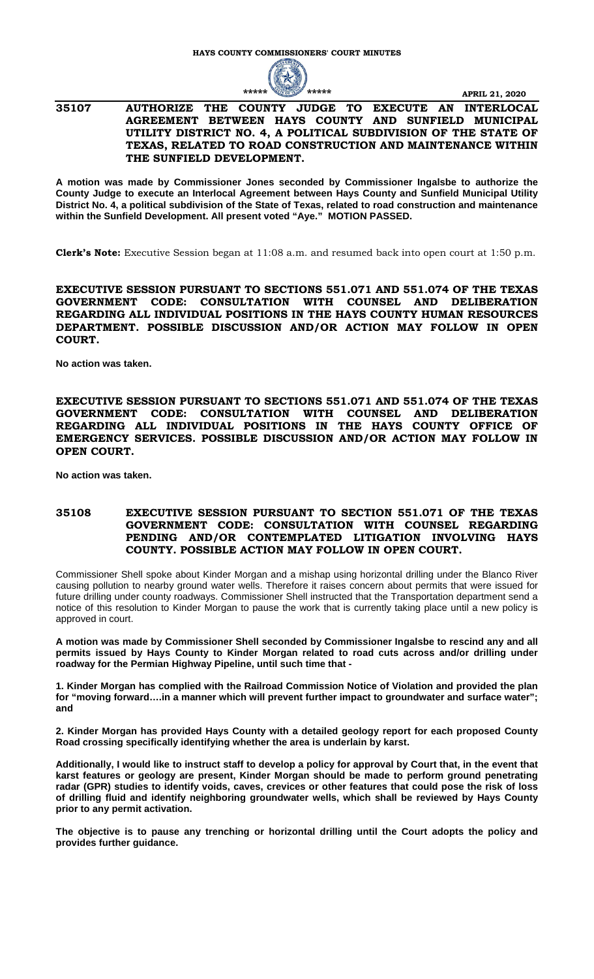

#### **35107 AUTHORIZE THE COUNTY JUDGE TO EXECUTE AN INTERLOCAL AGREEMENT BETWEEN HAYS COUNTY AND SUNFIELD MUNICIPAL UTILITY DISTRICT NO. 4, A POLITICAL SUBDIVISION OF THE STATE OF TEXAS, RELATED TO ROAD CONSTRUCTION AND MAINTENANCE WITHIN THE SUNFIELD DEVELOPMENT.**

**A motion was made by Commissioner Jones seconded by Commissioner Ingalsbe to authorize the County Judge to execute an Interlocal Agreement between Hays County and Sunfield Municipal Utility District No. 4, a political subdivision of the State of Texas, related to road construction and maintenance within the Sunfield Development. All present voted "Aye." MOTION PASSED.**

**Clerk's Note:** Executive Session began at 11:08 a.m. and resumed back into open court at 1:50 p.m.

**EXECUTIVE SESSION PURSUANT TO SECTIONS 551.071 AND 551.074 OF THE TEXAS GOVERNMENT CODE: CONSULTATION WITH COUNSEL AND DELIBERATION REGARDING ALL INDIVIDUAL POSITIONS IN THE HAYS COUNTY HUMAN RESOURCES DEPARTMENT. POSSIBLE DISCUSSION AND/OR ACTION MAY FOLLOW IN OPEN COURT.** 

**No action was taken.**

**EXECUTIVE SESSION PURSUANT TO SECTIONS 551.071 AND 551.074 OF THE TEXAS GOVERNMENT CODE: CONSULTATION WITH COUNSEL AND DELIBERATION REGARDING ALL INDIVIDUAL POSITIONS IN THE HAYS COUNTY OFFICE OF EMERGENCY SERVICES. POSSIBLE DISCUSSION AND/OR ACTION MAY FOLLOW IN OPEN COURT.** 

**No action was taken.**

#### **35108 EXECUTIVE SESSION PURSUANT TO SECTION 551.071 OF THE TEXAS GOVERNMENT CODE: CONSULTATION WITH COUNSEL REGARDING PENDING AND/OR CONTEMPLATED LITIGATION INVOLVING HAYS COUNTY. POSSIBLE ACTION MAY FOLLOW IN OPEN COURT.**

Commissioner Shell spoke about Kinder Morgan and a mishap using horizontal drilling under the Blanco River causing pollution to nearby ground water wells. Therefore it raises concern about permits that were issued for future drilling under county roadways. Commissioner Shell instructed that the Transportation department send a notice of this resolution to Kinder Morgan to pause the work that is currently taking place until a new policy is approved in court.

**A motion was made by Commissioner Shell seconded by Commissioner Ingalsbe to rescind any and all permits issued by Hays County to Kinder Morgan related to road cuts across and/or drilling under roadway for the Permian Highway Pipeline, until such time that -**

**1. Kinder Morgan has complied with the Railroad Commission Notice of Violation and provided the plan for "moving forward….in a manner which will prevent further impact to groundwater and surface water"; and**

**2. Kinder Morgan has provided Hays County with a detailed geology report for each proposed County Road crossing specifically identifying whether the area is underlain by karst.**

**Additionally, I would like to instruct staff to develop a policy for approval by Court that, in the event that karst features or geology are present, Kinder Morgan should be made to perform ground penetrating radar (GPR) studies to identify voids, caves, crevices or other features that could pose the risk of loss of drilling fluid and identify neighboring groundwater wells, which shall be reviewed by Hays County prior to any permit activation.**

**The objective is to pause any trenching or horizontal drilling until the Court adopts the policy and provides further guidance.**